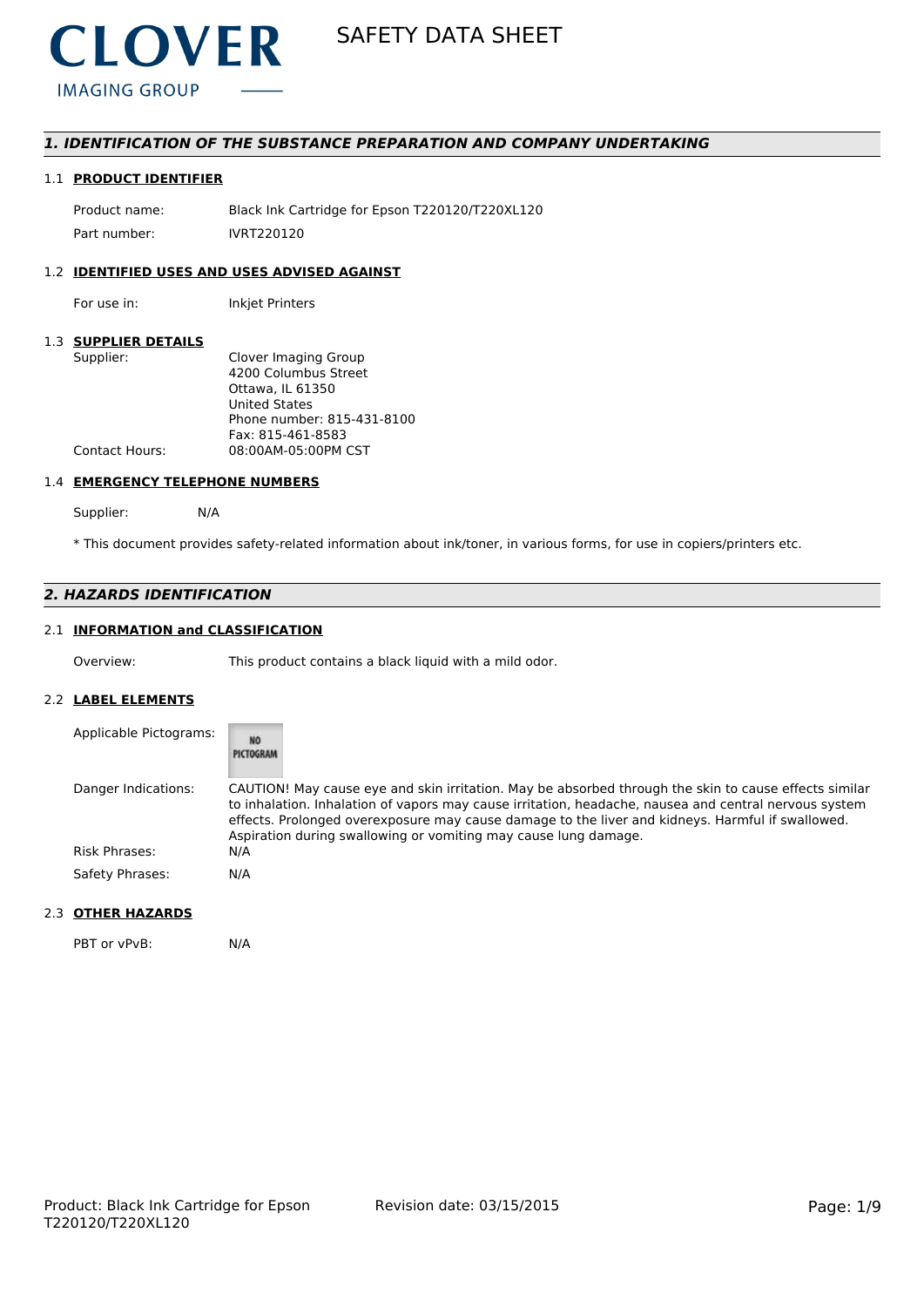

# *1. IDENTIFICATION OF THE SUBSTANCE PREPARATION AND COMPANY UNDERTAKING*

# 1.1 **PRODUCT IDENTIFIER**

Product name: Black Ink Cartridge for Epson T220120/T220XL120 Part number: IVRT220120

# 1.2 **IDENTIFIED USES AND USES ADVISED AGAINST**

For use in: Inkjet Printers

### 1.3 **SUPPLIER DETAILS**

| Supplier:             | Clover Imaging Group       |
|-----------------------|----------------------------|
|                       | 4200 Columbus Street       |
|                       | Ottawa. IL 61350           |
|                       | <b>United States</b>       |
|                       | Phone number: 815-431-8100 |
|                       | Fax: 815-461-8583          |
| <b>Contact Hours:</b> | 08:00AM-05:00PM CST        |
|                       |                            |

#### 1.4 **EMERGENCY TELEPHONE NUMBERS**

Supplier: N/A

\* This document provides safety-related information about ink/toner, in various forms, for use in copiers/printers etc.

# *2. HAZARDS IDENTIFICATION*

# 2.1 **INFORMATION and CLASSIFICATION**

Overview: This product contains a black liquid with a mild odor.

### 2.2 **LABEL ELEMENTS**

| Applicable Pictograms: | <b>NO</b><br>PICTOGRAM                                                                                                                                                                                                                                                                                                                                                                |
|------------------------|---------------------------------------------------------------------------------------------------------------------------------------------------------------------------------------------------------------------------------------------------------------------------------------------------------------------------------------------------------------------------------------|
| Danger Indications:    | CAUTION! May cause eye and skin irritation. May be absorbed through the skin to cause effects similar<br>to inhalation. Inhalation of vapors may cause irritation, headache, nausea and central nervous system<br>effects. Prolonged overexposure may cause damage to the liver and kidneys. Harmful if swallowed.<br>Aspiration during swallowing or vomiting may cause lung damage. |
| <b>Risk Phrases:</b>   | N/A                                                                                                                                                                                                                                                                                                                                                                                   |
| Safety Phrases:        | N/A                                                                                                                                                                                                                                                                                                                                                                                   |

# 2.3 **OTHER HAZARDS**

PBT or vPvB: N/A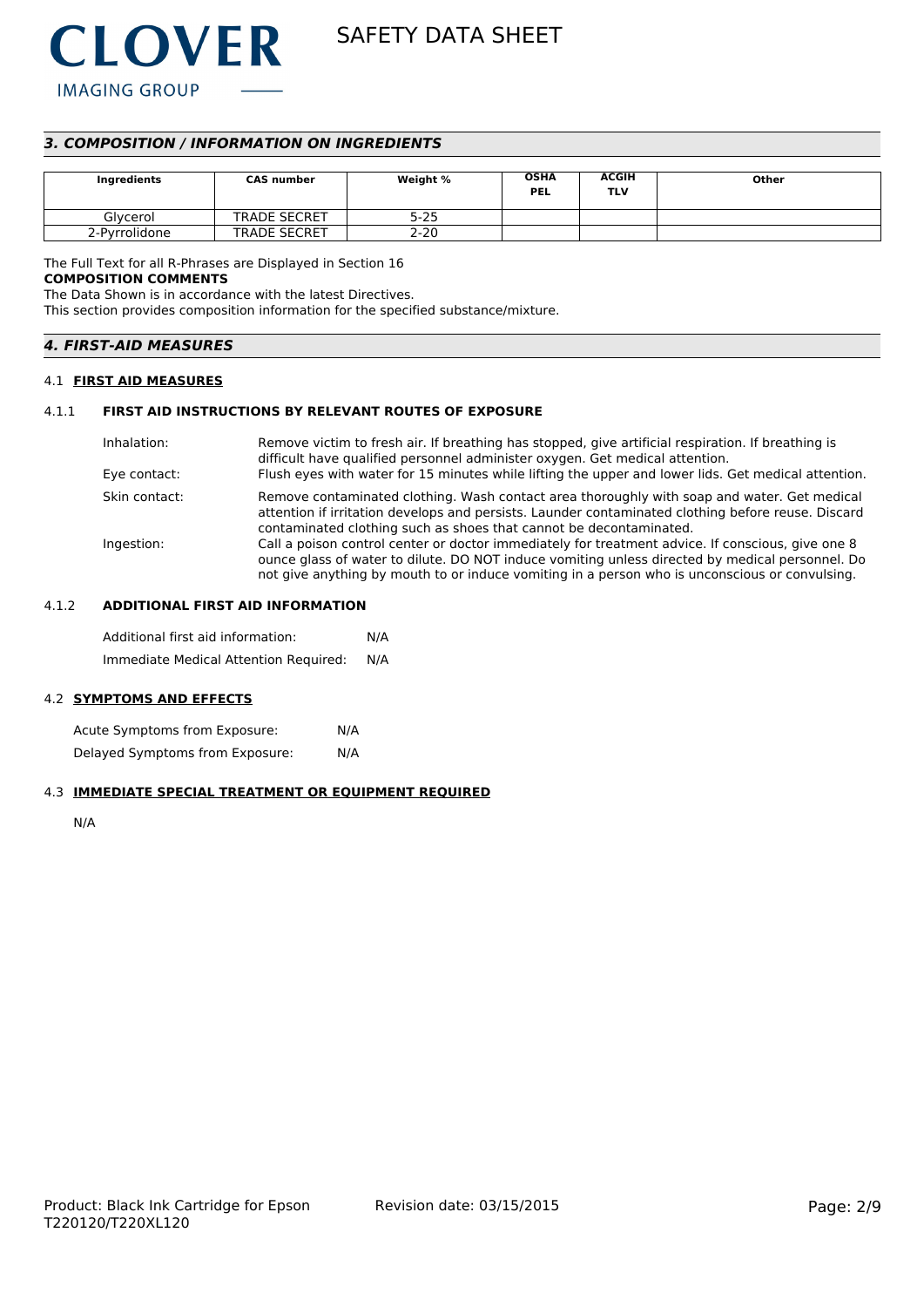

# *3. COMPOSITION / INFORMATION ON INGREDIENTS*

| Ingredients   | <b>CAS number</b>   | Weight % | <b>OSHA</b><br><b>PEL</b> | <b>ACGIH</b><br>TLV | Other |
|---------------|---------------------|----------|---------------------------|---------------------|-------|
| Glvcerol      | <b>TRADE SECRET</b> | $5 - 25$ |                           |                     |       |
| 2-Pyrrolidone | <b>TRADE SECRET</b> | $2 - 20$ |                           |                     |       |

The Full Text for all R-Phrases are Displayed in Section 16

#### **COMPOSITION COMMENTS**

The Data Shown is in accordance with the latest Directives.

This section provides composition information for the specified substance/mixture.

| <b>4. FIRST-AID MEASURES</b><br>,我们就是一个人的人,我们就是一个人的人,我们就是一个人的人,我们就是一个人的人,我们就是一个人的人,我们就是一个人的人,我们就是一个人的人,我们就是一个人的人 |
|------------------------------------------------------------------------------------------------------------------|
|------------------------------------------------------------------------------------------------------------------|

### 4.1 **FIRST AID MEASURES**

### 4.1.1 **FIRST AID INSTRUCTIONS BY RELEVANT ROUTES OF EXPOSURE**

| Inhalation:<br>Eye contact: | Remove victim to fresh air. If breathing has stopped, give artificial respiration. If breathing is<br>difficult have qualified personnel administer oxygen. Get medical attention.<br>Flush eyes with water for 15 minutes while lifting the upper and lower lids. Get medical attention.              |
|-----------------------------|--------------------------------------------------------------------------------------------------------------------------------------------------------------------------------------------------------------------------------------------------------------------------------------------------------|
| Skin contact:               | Remove contaminated clothing. Wash contact area thoroughly with soap and water. Get medical<br>attention if irritation develops and persists. Launder contaminated clothing before reuse. Discard<br>contaminated clothing such as shoes that cannot be decontaminated.                                |
| Ingestion:                  | Call a poison control center or doctor immediately for treatment advice. If conscious, give one 8<br>ounce glass of water to dilute. DO NOT induce vomiting unless directed by medical personnel. Do<br>not give anything by mouth to or induce vomiting in a person who is unconscious or convulsing. |

# 4.1.2 **ADDITIONAL FIRST AID INFORMATION**

Additional first aid information: N/A Immediate Medical Attention Required: N/A

#### 4.2 **SYMPTOMS AND EFFECTS**

Acute Symptoms from Exposure: N/A Delayed Symptoms from Exposure: N/A

#### 4.3 **IMMEDIATE SPECIAL TREATMENT OR EQUIPMENT REQUIRED**

N/A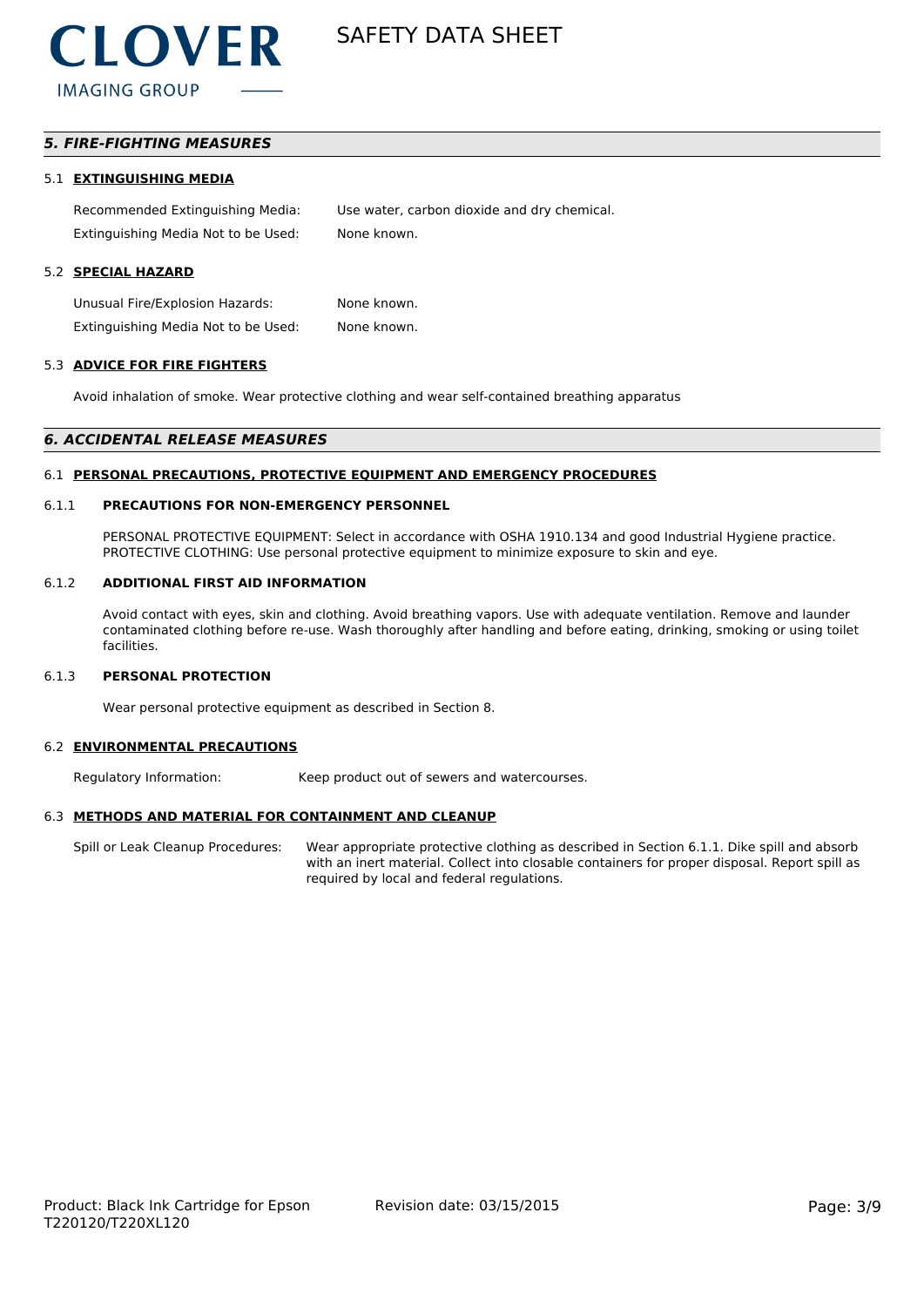

# *5. FIRE-FIGHTING MEASURES*

#### 5.1 **EXTINGUISHING MEDIA**

Recommended Extinguishing Media: Use water, carbon dioxide and dry chemical. Extinguishing Media Not to be Used: None known.

#### 5.2 **SPECIAL HAZARD**

Unusual Fire/Explosion Hazards: None known. Extinguishing Media Not to be Used: None known.

#### 5.3 **ADVICE FOR FIRE FIGHTERS**

Avoid inhalation of smoke. Wear protective clothing and wear self-contained breathing apparatus

#### *6. ACCIDENTAL RELEASE MEASURES*

#### 6.1 **PERSONAL PRECAUTIONS, PROTECTIVE EQUIPMENT AND EMERGENCY PROCEDURES**

#### 6.1.1 **PRECAUTIONS FOR NON-EMERGENCY PERSONNEL**

PERSONAL PROTECTIVE EQUIPMENT: Select in accordance with OSHA 1910.134 and good Industrial Hygiene practice. PROTECTIVE CLOTHING: Use personal protective equipment to minimize exposure to skin and eye.

#### 6.1.2 **ADDITIONAL FIRST AID INFORMATION**

Avoid contact with eyes, skin and clothing. Avoid breathing vapors. Use with adequate ventilation. Remove and launder contaminated clothing before re-use. Wash thoroughly after handling and before eating, drinking, smoking or using toilet facilities.

#### 6.1.3 **PERSONAL PROTECTION**

Wear personal protective equipment as described in Section 8.

#### 6.2 **ENVIRONMENTAL PRECAUTIONS**

Regulatory Information: Keep product out of sewers and watercourses.

### 6.3 **METHODS AND MATERIAL FOR CONTAINMENT AND CLEANUP**

Spill or Leak Cleanup Procedures: Wear appropriate protective clothing as described in Section 6.1.1. Dike spill and absorb with an inert material. Collect into closable containers for proper disposal. Report spill as required by local and federal regulations.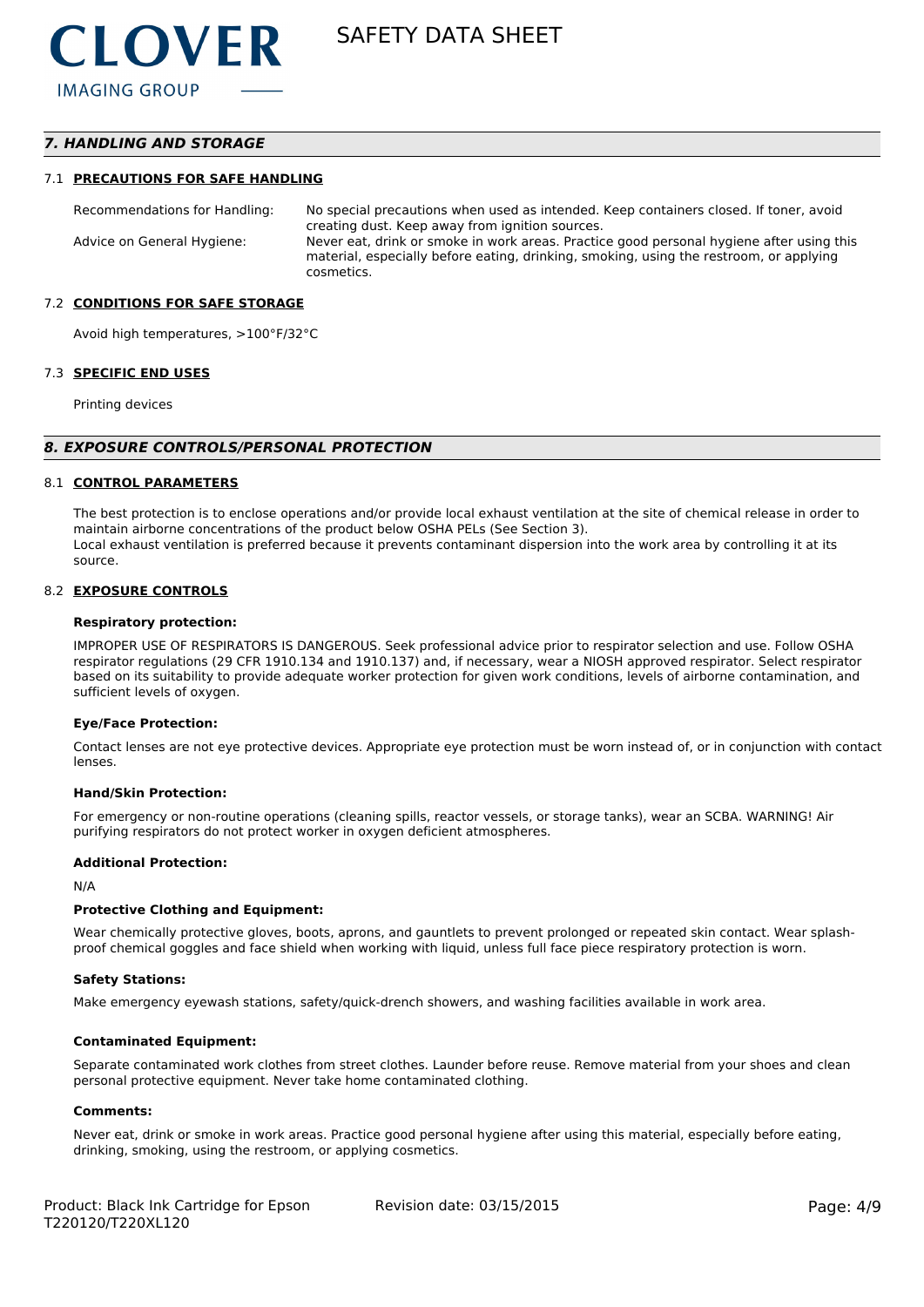# *7. HANDLING AND STORAGE*

#### 7.1 **PRECAUTIONS FOR SAFE HANDLING**

Recommendations for Handling: No special precautions when used as intended. Keep containers closed. If toner, avoid creating dust. Keep away from ignition sources. Advice on General Hygiene: Never eat, drink or smoke in work areas. Practice good personal hygiene after using this material, especially before eating, drinking, smoking, using the restroom, or applying cosmetics.

#### 7.2 **CONDITIONS FOR SAFE STORAGE**

Avoid high temperatures, >100°F/32°C

#### 7.3 **SPECIFIC END USES**

Printing devices

#### *8. EXPOSURE CONTROLS/PERSONAL PROTECTION*

#### 8.1 **CONTROL PARAMETERS**

The best protection is to enclose operations and/or provide local exhaust ventilation at the site of chemical release in order to maintain airborne concentrations of the product below OSHA PELs (See Section 3). Local exhaust ventilation is preferred because it prevents contaminant dispersion into the work area by controlling it at its source.

#### 8.2 **EXPOSURE CONTROLS**

#### **Respiratory protection:**

IMPROPER USE OF RESPIRATORS IS DANGEROUS. Seek professional advice prior to respirator selection and use. Follow OSHA respirator regulations (29 CFR 1910.134 and 1910.137) and, if necessary, wear a NIOSH approved respirator. Select respirator based on its suitability to provide adequate worker protection for given work conditions, levels of airborne contamination, and sufficient levels of oxygen.

#### **Eye/Face Protection:**

Contact lenses are not eye protective devices. Appropriate eye protection must be worn instead of, or in conjunction with contact lenses.

#### **Hand/Skin Protection:**

For emergency or non-routine operations (cleaning spills, reactor vessels, or storage tanks), wear an SCBA. WARNING! Air purifying respirators do not protect worker in oxygen deficient atmospheres.

#### **Additional Protection:**

N/A

#### **Protective Clothing and Equipment:**

Wear chemically protective gloves, boots, aprons, and gauntlets to prevent prolonged or repeated skin contact. Wear splashproof chemical goggles and face shield when working with liquid, unless full face piece respiratory protection is worn.

#### **Safety Stations:**

Make emergency eyewash stations, safety/quick-drench showers, and washing facilities available in work area.

#### **Contaminated Equipment:**

Separate contaminated work clothes from street clothes. Launder before reuse. Remove material from your shoes and clean personal protective equipment. Never take home contaminated clothing.

#### **Comments:**

Never eat, drink or smoke in work areas. Practice good personal hygiene after using this material, especially before eating, drinking, smoking, using the restroom, or applying cosmetics.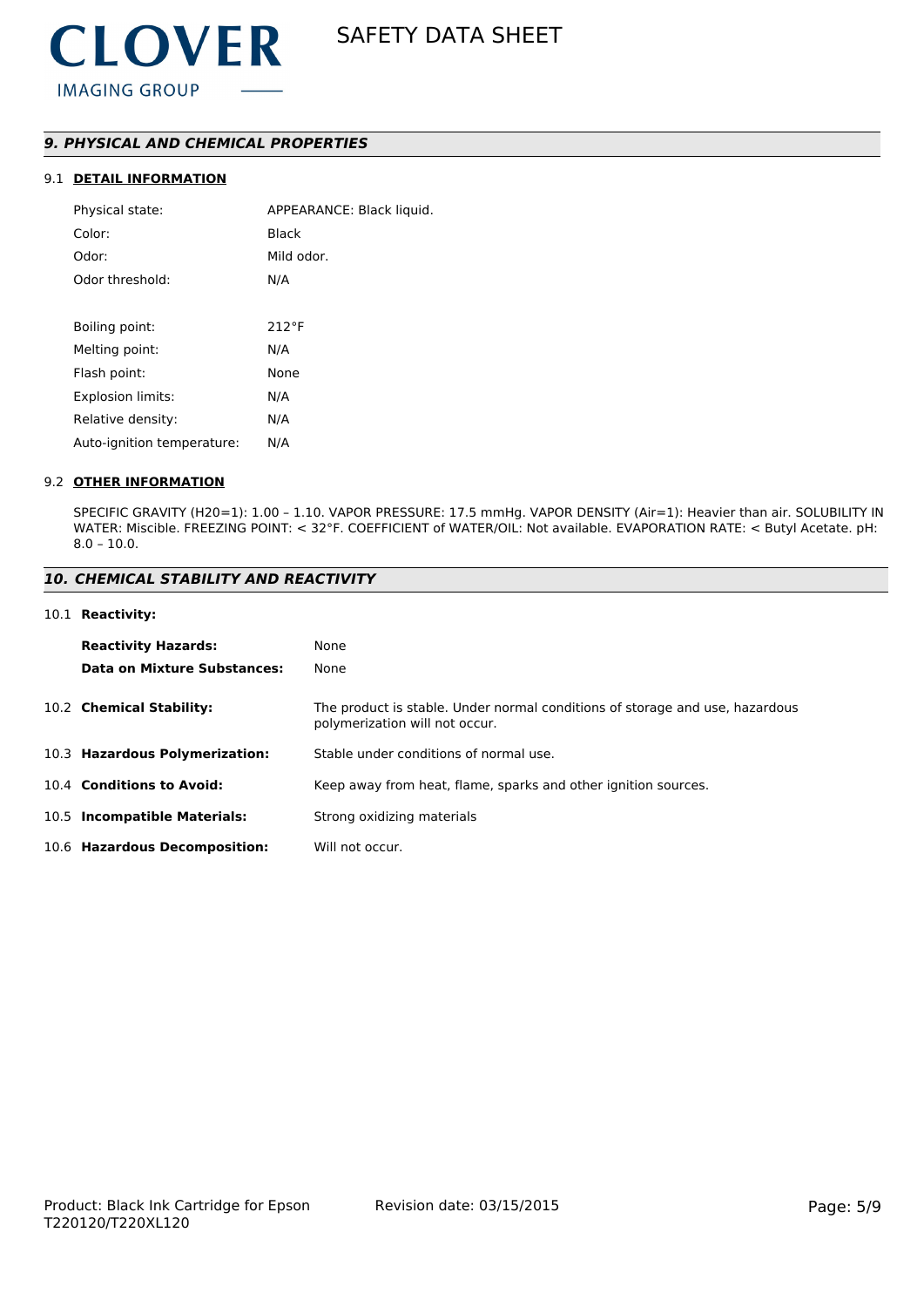# *9. PHYSICAL AND CHEMICAL PROPERTIES*

# 9.1 **DETAIL INFORMATION**

| Physical state:            | APPEARANCE: Black liquid. |
|----------------------------|---------------------------|
| Color:                     | Black                     |
| Odor:                      | Mild odor.                |
| Odor threshold:            | N/A                       |
|                            |                           |
| Boiling point:             | 212°F                     |
| Melting point:             | N/A                       |
| Flash point:               | None                      |
| <b>Explosion limits:</b>   | N/A                       |
| Relative density:          | N/A                       |
| Auto-ignition temperature: | N/A                       |
|                            |                           |

#### 9.2 **OTHER INFORMATION**

SPECIFIC GRAVITY (H20=1): 1.00 – 1.10. VAPOR PRESSURE: 17.5 mmHg. VAPOR DENSITY (Air=1): Heavier than air. SOLUBILITY IN WATER: Miscible. FREEZING POINT: < 32°F. COEFFICIENT of WATER/OIL: Not available. EVAPORATION RATE: < Butyl Acetate. pH: 8.0 – 10.0.

### *10. CHEMICAL STABILITY AND REACTIVITY*

#### 10.1 **Reactivity:**

| <b>Reactivity Hazards:</b>     | None                                                                                                           |
|--------------------------------|----------------------------------------------------------------------------------------------------------------|
| Data on Mixture Substances:    | None                                                                                                           |
| 10.2 Chemical Stability:       | The product is stable. Under normal conditions of storage and use, hazardous<br>polymerization will not occur. |
| 10.3 Hazardous Polymerization: | Stable under conditions of normal use.                                                                         |
| 10.4 Conditions to Avoid:      | Keep away from heat, flame, sparks and other ignition sources.                                                 |
| 10.5 Incompatible Materials:   | Strong oxidizing materials                                                                                     |
| 10.6 Hazardous Decomposition:  | Will not occur.                                                                                                |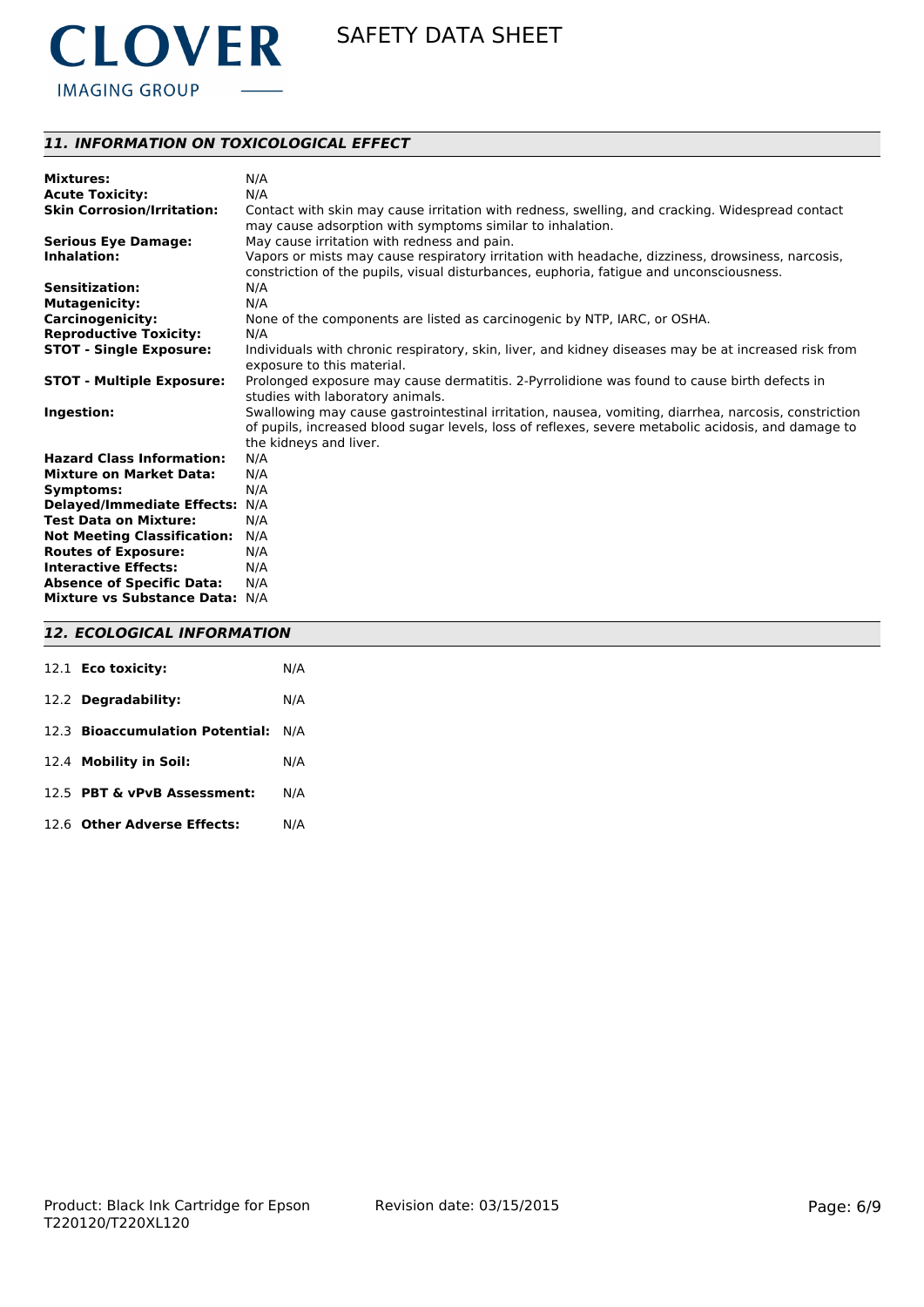

# *11. INFORMATION ON TOXICOLOGICAL EFFECT*

| <b>Mixtures:</b>                   | N/A                                                                                                                                                                                                         |
|------------------------------------|-------------------------------------------------------------------------------------------------------------------------------------------------------------------------------------------------------------|
| <b>Acute Toxicity:</b>             | N/A                                                                                                                                                                                                         |
| <b>Skin Corrosion/Irritation:</b>  | Contact with skin may cause irritation with redness, swelling, and cracking. Widespread contact<br>may cause adsorption with symptoms similar to inhalation.                                                |
| <b>Serious Eye Damage:</b>         | May cause irritation with redness and pain.                                                                                                                                                                 |
| Inhalation:                        | Vapors or mists may cause respiratory irritation with headache, dizziness, drowsiness, narcosis,                                                                                                            |
|                                    | constriction of the pupils, visual disturbances, euphoria, fatique and unconsciousness.                                                                                                                     |
| <b>Sensitization:</b>              | N/A                                                                                                                                                                                                         |
| <b>Mutagenicity:</b>               | N/A                                                                                                                                                                                                         |
| <b>Carcinogenicity:</b>            | None of the components are listed as carcinogenic by NTP, IARC, or OSHA.                                                                                                                                    |
| <b>Reproductive Toxicity:</b>      | N/A                                                                                                                                                                                                         |
| <b>STOT - Single Exposure:</b>     | Individuals with chronic respiratory, skin, liver, and kidney diseases may be at increased risk from<br>exposure to this material.                                                                          |
| <b>STOT - Multiple Exposure:</b>   | Prolonged exposure may cause dermatitis. 2-Pyrrolidione was found to cause birth defects in                                                                                                                 |
|                                    | studies with laboratory animals.                                                                                                                                                                            |
| Ingestion:                         | Swallowing may cause gastrointestinal irritation, nausea, vomiting, diarrhea, narcosis, constriction<br>of pupils, increased blood sugar levels, loss of reflexes, severe metabolic acidosis, and damage to |
|                                    | the kidneys and liver.                                                                                                                                                                                      |
| <b>Hazard Class Information:</b>   | N/A                                                                                                                                                                                                         |
| <b>Mixture on Market Data:</b>     | N/A                                                                                                                                                                                                         |
| Symptoms:                          | N/A                                                                                                                                                                                                         |
| Delayed/Immediate Effects: N/A     |                                                                                                                                                                                                             |
| <b>Test Data on Mixture:</b>       | N/A                                                                                                                                                                                                         |
| <b>Not Meeting Classification:</b> | N/A                                                                                                                                                                                                         |
| <b>Routes of Exposure:</b>         | N/A                                                                                                                                                                                                         |
| <b>Interactive Effects:</b>        | N/A                                                                                                                                                                                                         |
| <b>Absence of Specific Data:</b>   | N/A                                                                                                                                                                                                         |
| Mixture vs Substance Data: N/A     |                                                                                                                                                                                                             |

# *12. ECOLOGICAL INFORMATION*

| 12.1 Eco toxicity:                  | N/A |
|-------------------------------------|-----|
| 12.2 Degradability:                 | N/A |
| 12.3 Bioaccumulation Potential: N/A |     |
| 12.4 Mobility in Soil:              | N/A |
| 12.5 PBT & vPvB Assessment:         | N/A |
| 12.6 Other Adverse Effects:         | N/A |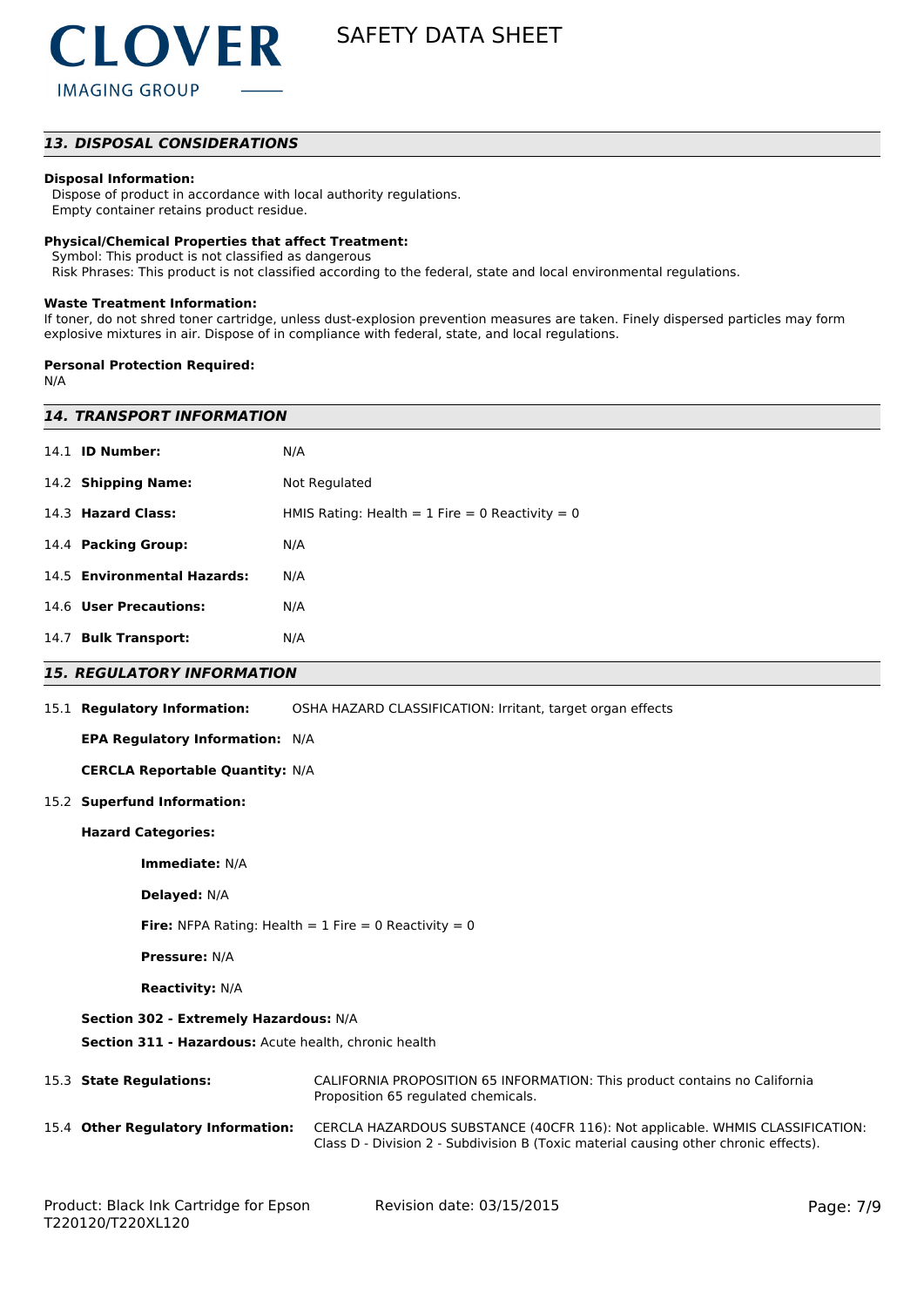

### *13. DISPOSAL CONSIDERATIONS*

### **Disposal Information:**

 Dispose of product in accordance with local authority regulations. Empty container retains product residue.

#### **Physical/Chemical Properties that affect Treatment:**

Symbol: This product is not classified as dangerous

Risk Phrases: This product is not classified according to the federal, state and local environmental regulations.

#### **Waste Treatment Information:**

If toner, do not shred toner cartridge, unless dust-explosion prevention measures are taken. Finely dispersed particles may form explosive mixtures in air. Dispose of in compliance with federal, state, and local regulations.

#### **Personal Protection Required:**

N/A

| <i><b>14. TRANSPORT INFORMATION</b></i>                                                         |                                                                                                                                                                       |  |  |  |  |
|-------------------------------------------------------------------------------------------------|-----------------------------------------------------------------------------------------------------------------------------------------------------------------------|--|--|--|--|
| 14.1 <b>ID Number:</b>                                                                          | N/A                                                                                                                                                                   |  |  |  |  |
| 14.2 Shipping Name:<br>Not Regulated                                                            |                                                                                                                                                                       |  |  |  |  |
| 14.3 Hazard Class:<br>HMIS Rating: Health = 1 Fire = 0 Reactivity = 0                           |                                                                                                                                                                       |  |  |  |  |
| 14.4 Packing Group:<br>N/A                                                                      |                                                                                                                                                                       |  |  |  |  |
| 14.5 Environmental Hazards:                                                                     | N/A                                                                                                                                                                   |  |  |  |  |
| 14.6 User Precautions:                                                                          | N/A                                                                                                                                                                   |  |  |  |  |
| 14.7 Bulk Transport:                                                                            | N/A                                                                                                                                                                   |  |  |  |  |
| <b>15. REGULATORY INFORMATION</b>                                                               |                                                                                                                                                                       |  |  |  |  |
| 15.1 Regulatory Information:                                                                    | OSHA HAZARD CLASSIFICATION: Irritant, target organ effects                                                                                                            |  |  |  |  |
| <b>EPA Regulatory Information: N/A</b>                                                          |                                                                                                                                                                       |  |  |  |  |
| <b>CERCLA Reportable Quantity: N/A</b>                                                          |                                                                                                                                                                       |  |  |  |  |
| 15.2 Superfund Information:                                                                     |                                                                                                                                                                       |  |  |  |  |
| <b>Hazard Categories:</b>                                                                       |                                                                                                                                                                       |  |  |  |  |
| Immediate: N/A                                                                                  |                                                                                                                                                                       |  |  |  |  |
| Delayed: N/A                                                                                    |                                                                                                                                                                       |  |  |  |  |
| <b>Fire:</b> NFPA Rating: Health = $1$ Fire = 0 Reactivity = 0                                  |                                                                                                                                                                       |  |  |  |  |
| <b>Pressure: N/A</b>                                                                            |                                                                                                                                                                       |  |  |  |  |
| <b>Reactivity: N/A</b>                                                                          |                                                                                                                                                                       |  |  |  |  |
| Section 302 - Extremely Hazardous: N/A<br>Section 311 - Hazardous: Acute health, chronic health |                                                                                                                                                                       |  |  |  |  |
| 15.3 State Regulations:                                                                         | CALIFORNIA PROPOSITION 65 INFORMATION: This product contains no California<br>Proposition 65 regulated chemicals.                                                     |  |  |  |  |
| 15.4 Other Regulatory Information:                                                              | CERCLA HAZARDOUS SUBSTANCE (40CFR 116): Not applicable. WHMIS CLASSIFICATION:<br>Class D - Division 2 - Subdivision B (Toxic material causing other chronic effects). |  |  |  |  |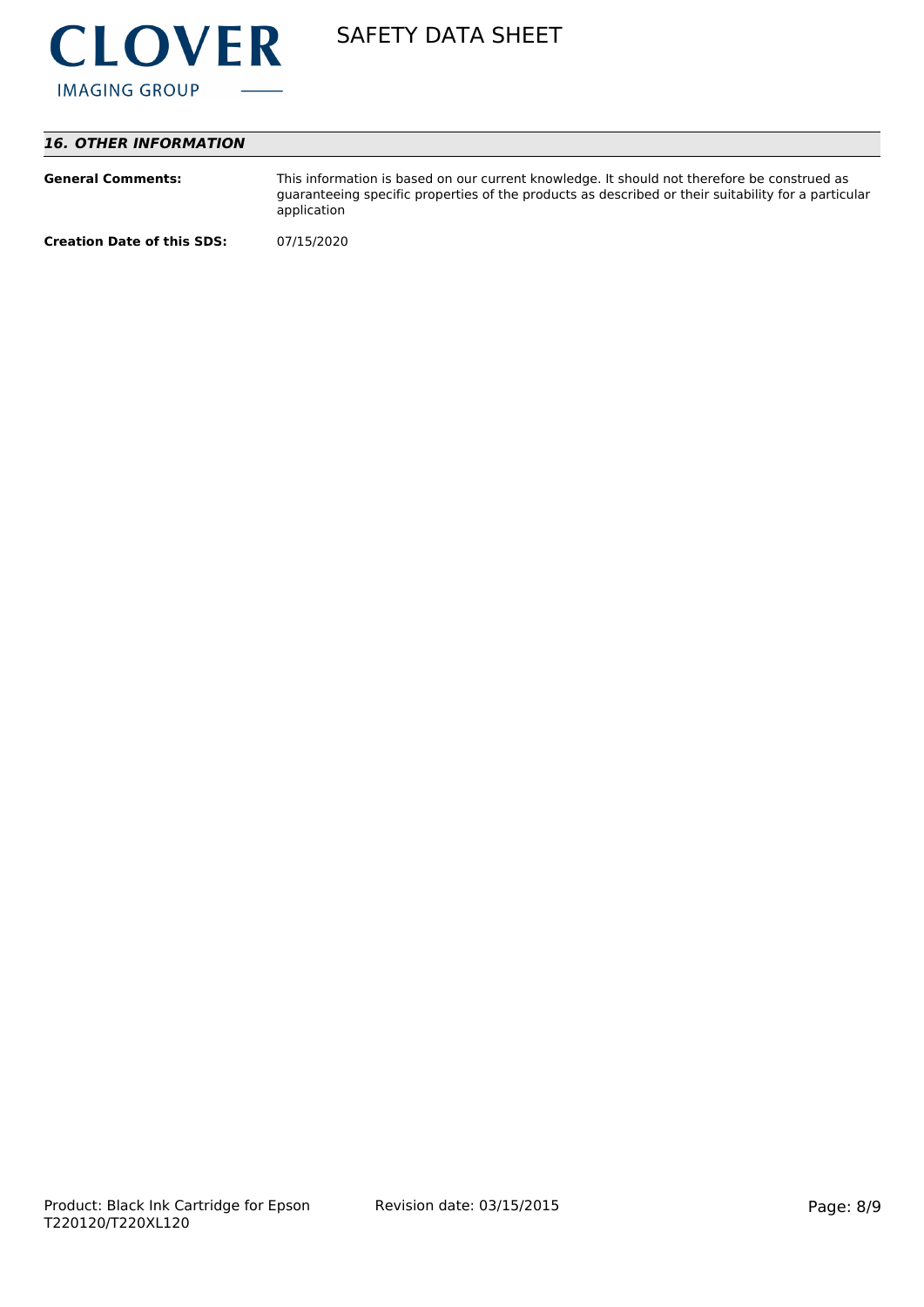

# *16. OTHER INFORMATION*

| <b>General Comments:</b>          | This information is based on our current knowledge. It should not therefore be construed as<br>guaranteeing specific properties of the products as described or their suitability for a particular<br>application |
|-----------------------------------|-------------------------------------------------------------------------------------------------------------------------------------------------------------------------------------------------------------------|
| <b>Creation Date of this SDS:</b> | 07/15/2020                                                                                                                                                                                                        |